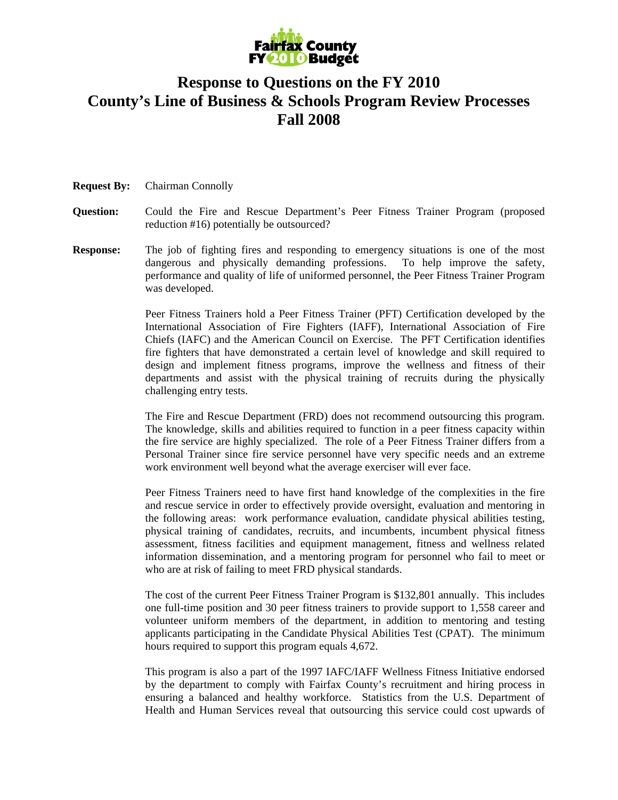

## **Response to Questions on the FY 2010 County's Line of Business & Schools Program Review Processes Fall 2008**

## **Request By:** Chairman Connolly

- **Question:** Could the Fire and Rescue Department's Peer Fitness Trainer Program (proposed reduction #16) potentially be outsourced?
- **Response:** The job of fighting fires and responding to emergency situations is one of the most dangerous and physically demanding professions. To help improve the safety, performance and quality of life of uniformed personnel, the Peer Fitness Trainer Program was developed.

Peer Fitness Trainers hold a Peer Fitness Trainer (PFT) Certification developed by the International Association of Fire Fighters (IAFF), International Association of Fire Chiefs (IAFC) and the American Council on Exercise. The PFT Certification identifies fire fighters that have demonstrated a certain level of knowledge and skill required to design and implement fitness programs, improve the wellness and fitness of their departments and assist with the physical training of recruits during the physically challenging entry tests.

The Fire and Rescue Department (FRD) does not recommend outsourcing this program. The knowledge, skills and abilities required to function in a peer fitness capacity within the fire service are highly specialized. The role of a Peer Fitness Trainer differs from a Personal Trainer since fire service personnel have very specific needs and an extreme work environment well beyond what the average exerciser will ever face.

Peer Fitness Trainers need to have first hand knowledge of the complexities in the fire and rescue service in order to effectively provide oversight, evaluation and mentoring in the following areas: work performance evaluation, candidate physical abilities testing, physical training of candidates, recruits, and incumbents, incumbent physical fitness assessment, fitness facilities and equipment management, fitness and wellness related information dissemination, and a mentoring program for personnel who fail to meet or who are at risk of failing to meet FRD physical standards.

The cost of the current Peer Fitness Trainer Program is \$132,801 annually. This includes one full-time position and 30 peer fitness trainers to provide support to 1,558 career and volunteer uniform members of the department, in addition to mentoring and testing applicants participating in the Candidate Physical Abilities Test (CPAT). The minimum hours required to support this program equals 4,672.

This program is also a part of the 1997 IAFC/IAFF Wellness Fitness Initiative endorsed by the department to comply with Fairfax County's recruitment and hiring process in ensuring a balanced and healthy workforce. Statistics from the U.S. Department of Health and Human Services reveal that outsourcing this service could cost upwards of